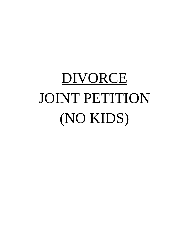# DIVORCE JOINT PETITION (NO KIDS)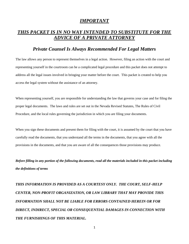## *IMPORTANT*

## *THIS PACKET IS IN NO WAY INTENDED TO SUBSTITUTE FOR THE ADVICE OF A PRIVATE ATTORNEY*

### *Private Counsel Is Always Recommended For Legal Matters*

The law allows any person to represent themselves in a legal action. However, filing an action with the court and representing yourself in the courtroom can be a complicated legal procedure and this packet does not attempt to address all the legal issues involved in bringing your matter before the court. This packet is created to help you access the legal system without the assistance of an attorney.

When representing yourself, you are responsible for understanding the law that governs your case and for filing the proper legal documents. The laws and rules are set out in the Nevada Revised Statutes, The Rules of Civil Procedure, and the local rules governing the jurisdiction in which you are filing your documents.

When you sign these documents and present them for filing with the court, it is assumed by the court that you have carefully read the documents, that you understand all the terms in the documents, that you agree with all the provisions in the documents, and that you are aware of all the consequences those provisions may produce.

*Before filling in any portion of the following documents, read all the materials included in this packet including the definitions of terms*

*THIS INFORMATION IS PROVIDED AS A COURTESY ONLY. THE COURT, SELF-HELP CENTER, NON-PROFIT ORGANIZATION, OR LAW LIBRARY THAT MAY PROVIDE THIS INFORMATION SHALL NOT BE LIABLE FOR ERRORS CONTAINED HEREIN OR FOR DIRECT, INDIRECT, SPECIAL OR CONSEQUENTIAL DAMAGES IN CONNECTION WITH THE FURNISHINGS OF THIS MATERIAL.*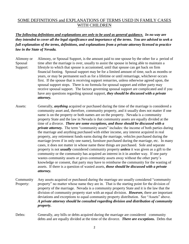### SOME DEFINITIONS and EXPLANATIONS OF TERMS USED IN FAMILY CASES WITH CHILDREN

*The following definitions and explanations are only to be used as general guidance. In no way are they intended to cover all the legal significance and importance of the terms. You are advised to seek a full explanation of the terms, definitions, and explanations from a private attorney licensed to practice law in the State of Nevada.*

- Alimony or Alimony, or Spousal Support, is the amount paid to one spouse by the other for a period of Spousal time after the marriage is over, usually to assist the spouse in being able to maintain a Support: lifestyle to which that spouse is accustomed, until that spouse can get back on firm financial footing. Spousal support may be for a limited amount of time, such as months or years, or may be permanent such as for a lifetime or until remarriage, whichever occurs first. If the spouse that is receiving support remarries, unless otherwise agreed upon, the spousal support stops. There is no formula for spousal support and either party may receive spousal support. The factors governing spousal support are complicated and if you have any questions regarding spousal support, *they should be discussed with a private attorney.*
- Assets: Generally, *anything* acquired or purchased during the time of the marriage is considered a community asset and, therefore, community property, and it usually does not matter if one name is on the property or both names are on the property. Nevada is a community property State and the law in Nevada is that community assets are equally divided at the time of a divorce. *There are some exceptions, and those should be discussed with a private attorney.* The term "community assets" includes: the income of both parties during the marriage and anything purchased with either income, any interest acquired in real property, any retirement funds earns during the marriage, vehicles purchased during the marriage (even if in only one name), furniture purchased during the marriage, etc. In many cases, it does not matter in whose name these things are purchased. Sole and separate property is not *usually* considered community property *unless* it was given as a gift to the community or the community has acquired an interest in it in another way. If one party wastes community assets or gives community assets away without the other party's knowledge or consent, that party may have to reimburse the community for the wasting of assets. If there is a question of wasted assets, *those should be discussed with a private attorney.*
- Community Any assets acquired or purchased during the marriage are usually considered "community Property: property" no matter whose name they are in. That is the starting point for the division of property of the marriage. Nevada is a community property State and it is the law that the division of community property start with an equal division. *However,* there are important deviations and exceptions to equal community property distribution. See "Assets" above. *A private attorney should be consulted regarding division and distribution of community property.*
- Debts: Generally, any bills or debts acquired during the marriage are considered community debts and are equally divided at the time of the divorce. *There are exceptions.* Debts that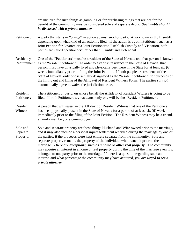are incurred for such things as gambling or for purchasing things that are not for the benefit of the community may be considered sole and separate debts. *Such debts should be discussed with a private attorney.*

- Petitioner: A party that starts or "brings" an action against another party. Also known as the Plaintiff, depending upon what kind of an action is filed. If the action is a Joint Petitioner, such as a Joint Petition for Divorce or a Joint Petitioner to Establish Custody and Visitation, both parties are called "petitioners", rather than Plaintiff and Defendant.
- Residency One of the "Petitioners" must be a resident of the State of Nevada and that person is known Requirement: as the "resident petitioner". In order to establish residence in the State of Nevada, that person must have physically lived and physically been here in the State for at least six (6) weeks immediately prior to filing the Joint Petition. If both people are residents of the State of Nevada, only one is actually designated as the "resident petitioner" for purposes of the filling out and filing of the Affidavit of Resident Witness Form. The parties *cannot* automatically agree to waive the jurisdiction issue.
- Resident The Petitioner, or party, on whose behalf the Affidavit of Resident Witness is going to be Petitioner: filed. If both Petitioners are residents, only one will be the "Resident Petitioner".
- Resident A person that will swear in the Affidavit of Resident Witness that one of the Petitioners Witness: has been physically present in the State of Nevada for a period of at least six (6) weeks immediately prior to the filing of the Joint Petition. The Resident Witness may be a friend, a family member, or a co-employee.
- Sole and Sole and separate property are those things Husband and Wife owned prior to the marriage, Separate and it *may* also include a personal injury settlement received during the marriage by one of Property: the parties, *if* the proceeds were kept entirely separate from the community. Sole and separate property remains the property of the individual who owned it prior to the marriage. *There are exceptions, such as a home or other real property.* The community may acquire an interest in a home or real property during the time of the marriage even if it belonged to one party prior to the marriage. If there is a question regarding such an interest, and what percentage the community may have acquired, *you are urged to see a private attorney.*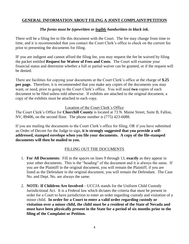### **GENERAL INFORMATION ABOUT FILING A JOINT COMPLAINT/PETITION**

#### *The forms must be typewritten or legibly handwritten in black ink.*

There will be a filing fee to file this document with the Court. The fee may change from time to time, and it is recommended that you contact the Court Clerk's office to check on the current fee prior to presenting the documents for filing.

IF you are indigent and cannot afford the filing fee, you may request the fee be waived by filing the packet entitled **Request for Waiver of Fees and Costs**. The Court will examine your financial status and determine whether a full or partial waiver can be granted, or if the request will be denied.

There are facilities for copying your documents at the Court Clerk's office at the charge of **\$.25 per page.** Therefore, it is recommended that you make any copies of the documents you may want, or need, prior to going to the Court Clerk's office. You will need **two** copies of each document to be filed unless told otherwise. If exhibits are attached to the original document, a copy of the exhibits must be attached to each copy.

Location of the Court Clerk's Office

The Court Clerk's Office for **Churchill County** is located at 73 N. Maine Street, Suite B, Fallon, NV, 89406, on the second floor. The phone number is (775) 423-6088.

If you are mailing the documents to the Court Clerk's office for filing, OR if you have submitted an Order of Decree for the Judge to sign, **it is strongly suggested that you provide a selfaddressed, stamped envelope when you file your documents. A copy of the file-stamped documents will then be mailed to you.**

### FILLING OUT THE DOCUMENTS

- 1. **For All Documents**: Fill in the spaces on lines 9 through 13, **exactly** as they appear in your other documents. This is the "heading" of the document and it is always the same. If you are the Plaintiff in the original document, you will remain the Plaintiff; if you are listed as the Defendant in the original document, you will remain the Defendant. The Case No. and Dept. No. are always the same.
- 2. **NOTE: If Children Are Involved**—UCCJA stands for the Uniform Child Custody Jurisdictional Act. It is a Federal law which dictates the criteria that must be present in order for a Court to have jurisdiction to enter an order regarding custody and visitation of a minor child. **In order for a Court to enter a valid order regarding custody or visitation over a minor child, the child must be a resident of the State of Nevada and must have been physically present in the State for a period of six months prior to the filing of the Complaint or Petition.**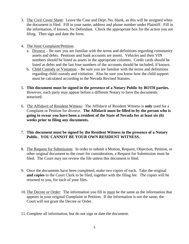- 3. The Civil Cover Sheet: Leave the Case and Dept. No. blank, as this will be assigned when the document is filed. Fill in your name, address and phone number under Plaintiff. Fill in the information, if known, for Defendant. Check the appropriate box for the action you are filing. Then sign and date the form.
- 4. The Joint Complaint/Petition:
	- a. Divorce Be sure you are familiar with the terms and definitions regarding community assets and debts. Pensions and bank accounts are assets. Vehicles and their VIN numbers should be listed as assets in the appropriate columns. Credit cards should be listed as debts and the last four numbers of the accounts should be included, if known.
	- b. Child Custody or Visitation Be sure you are familiar with the terms and definitions regarding child custody and visitation. Also be sure you know how the child support must be calculated according to the Nevada Revised Statutes.
- 5. **This document must be signed in the presence of a Notary Public by BOTH parties.** However, each party may appear before a different Notary to have the documents notarized.
- 6. The Affidavit of Resident Witness: The Affidavit of Resident Witness is **only** used for a Complaint or Petition for divorce. **The Affidavit must be filled in by the person who is going to swear you have been a resident of the State of Nevada for at least six (6) weeks prior to filing any documents.**
- 7. **This document must be signed by the Resident Witness in the presence of a Notary Public. YOU CANNOT BE YOUR OWN RESIDENT WITNESS.**
- 8. The Request for Submission: In order to submit a Motion, Request, Objection, Petition, or other original document to the court for consideration, a Request for Submission must be filed. The Court may not review the file unless this document is filed.
- 9. Once the documents have been completed, make two copies of each. Take the original **and copies** to the Court Clerk to be filed, together with the filing fee. The copies will be returned to you, for each of your files.
- 10.The Decree or Order: The information you fill in must be the same as the information that appears in your original Complaint or Petition. If the information is not the same, the Court will not grant the Decree or Order.
- 11.Complete all information, but do not sign or date the document.